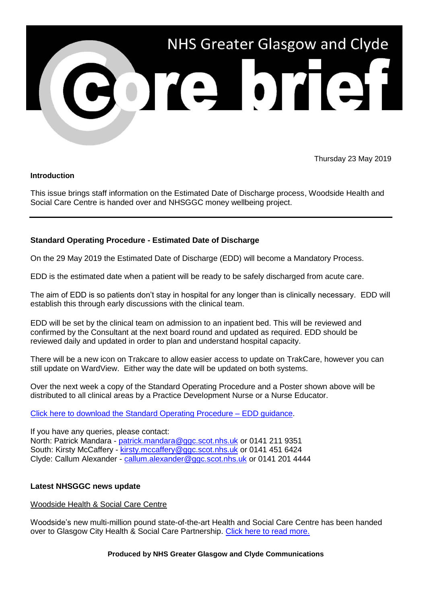

Thursday 23 May 2019

### **Introduction**

This issue brings staff information on the Estimated Date of Discharge process, Woodside Health and Social Care Centre is handed over and NHSGGC money wellbeing project.

# **Standard Operating Procedure - Estimated Date of Discharge**

On the 29 May 2019 the Estimated Date of Discharge (EDD) will become a Mandatory Process.

EDD is the estimated date when a patient will be ready to be safely discharged from acute care.

The aim of EDD is so patients don't stay in hospital for any longer than is clinically necessary. EDD will establish this through early discussions with the clinical team.

EDD will be set by the clinical team on admission to an inpatient bed. This will be reviewed and confirmed by the Consultant at the next board round and updated as required. EDD should be reviewed daily and updated in order to plan and understand hospital capacity.

There will be a new icon on Trakcare to allow easier access to update on TrakCare, however you can still update on WardView. Either way the date will be updated on both systems.

Over the next week a copy of the Standard Operating Procedure and a Poster shown above will be distributed to all clinical areas by a Practice Development Nurse or a Nurse Educator.

## [Click here to download the Standard Operating Procedure –](http://www.staffnet.ggc.scot.nhs.uk/Corporate%20Services/Communications/Briefs/Documents/SOP%20EDD%20March%202019.pdf) EDD guidance.

If you have any queries, please contact: North: Patrick Mandara - [patrick.mandara@ggc.scot.nhs.uk](mailto:patrick.mandara@ggc.scot.nhs.uk) or 0141 211 9351 South: Kirsty McCaffery - [kirsty.mccaffery@ggc.scot.nhs.uk](mailto:kirsty.mccaffery@ggc.scot.nhs.uk) or 0141 451 6424 Clyde: Callum Alexander - [callum.alexander@ggc.scot.nhs.uk](mailto:callum.alexander@ggc.scot.nhs.uk) or 0141 201 4444

## **Latest NHSGGC news update**

#### Woodside Health & Social Care Centre

Woodside's new multi-million pound state-of-the-art Health and Social Care Centre has been handed over to Glasgow City Health & Social Care Partnership. [Click here to read more.](https://www.nhsggc.org.uk/about-us/media-centre/news/2019/05/woodside/?utm_source=Core_Brief&utm_campaign=Core_Brief_woodside)

#### **Produced by NHS Greater Glasgow and Clyde Communications**